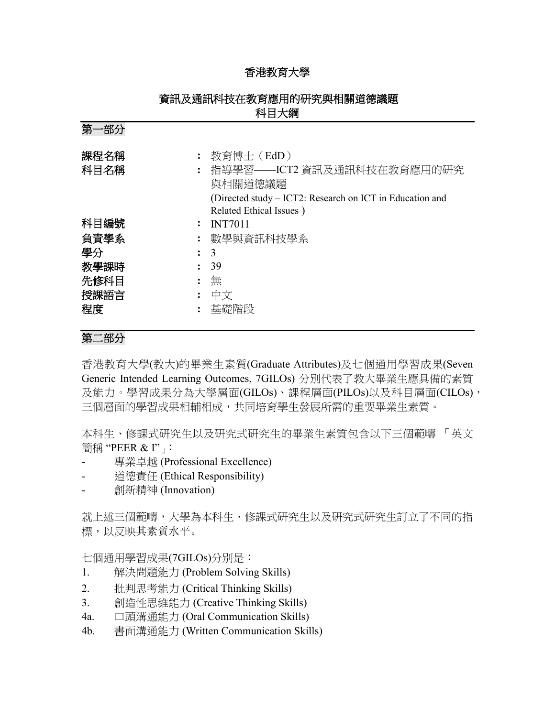### 香港教育大學

| 第一部分                           |                                                                                                                                            |  |  |  |
|--------------------------------|--------------------------------------------------------------------------------------------------------------------------------------------|--|--|--|
| 課程名稱<br>科目名稱<br>$\ddot{\cdot}$ | 教育博士 (EdD)<br>指導學習——ICT2 資訊及通訊科技在教育應用的研究<br>與相關道德議題<br>(Directed study – ICT2: Research on ICT in Education and<br>Related Ethical Issues) |  |  |  |
| 科目編號                           | <b>INT7011</b>                                                                                                                             |  |  |  |
| 負責學系                           | : 數學與資訊科技學系                                                                                                                                |  |  |  |
| 學分<br>$\mathbf{L}$             | 3                                                                                                                                          |  |  |  |
| 教學課時                           | 39                                                                                                                                         |  |  |  |
| 先修科目                           | 無                                                                                                                                          |  |  |  |
| 授課語言                           | 中文                                                                                                                                         |  |  |  |
| 程度                             | 基礎階段                                                                                                                                       |  |  |  |

# 資訊及通訊科技在教育應用的研究與相關道德議題 科目大綱

# 第二部分

香港教育大學(教大)的畢業生素質(Graduate Attributes)及七個通用學習成果(Seven Generic Intended Learning Outcomes, 7GILOs) 分別代表了教大畢業生應具備的素質 及能力。學習成果分為大學層面(GILOs)、課程層面(PILOs)以及科目層面(CILOs), 三個層面的學習成果相輔相成,共同培育學生發展所需的重要畢業生素質。

本科生、修課式研究生以及研究式研究生的畢業生素質包含以下三個範疇 「英文 簡稱 "PEER & I"」

- 專業卓越 (Professional Excellence)
- 道德責任 (Ethical Responsibility)
- 創新精神 (Innovation)

就上述三個範疇,大學為本科生、修課式研究生以及研究式研究生訂立了不同的指 標,以反映其素質水平。

七個通用學習成果(7GILOs)分別是:

- 1. 解決問題能力 (Problem Solving Skills)
- 2. 批判思考能力 (Critical Thinking Skills)
- 3. 創造性思維能力 (Creative Thinking Skills)
- 4a. 口頭溝通能力 (Oral Communication Skills)
- 4b. 書面溝通能力 (Written Communication Skills)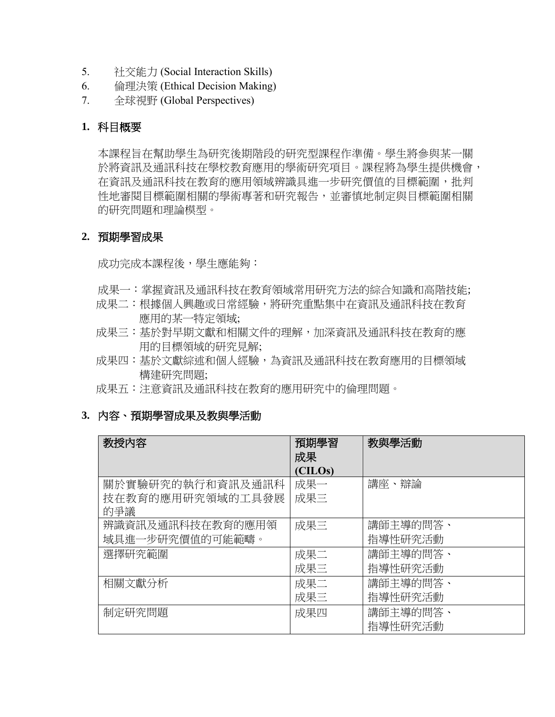- 5. 社交能力 (Social Interaction Skills)
- 6. 倫理決策 (Ethical Decision Making)
- 7. 全球視野 (Global Perspectives)

### **1.** 科目概要

本課程旨在幫助學生為研究後期階段的研究型課程作準備。學生將參與某一關 於將資訊及通訊科技在學校教育應用的學術研究項目。課程將為學生提供機會, 在資訊及通訊科技在教育的應用領域辨識具進一步研究價值的目標範圍,批判 性地審閱目標範圍相關的學術專著和研究報告,並審慎地制定與目標範圍相關 的研究問題和理論模型。

#### **2.** 預期學習成果

成功完成本課程後,學生應能夠:

- 成果一:掌握資訊及通訊科技在教育領域常用研究方法的綜合知識和高階技能;
- 成果二:根據個人興趣或日常經驗,將研究重點集中在資訊及通訊科技在教育 應用的某一特定領域;
- 成果三:基於對早期文獻和相關文件的理解,加深資訊及通訊科技在教育的應 用的目標領域的研究見解;
- 成果四:基於文獻綜述和個人經驗,為資訊及通訊科技在教育應用的目標領域 構建研究問題;
- 成果五:注意資訊及通訊科技在教育的應用研究中的倫理問題。

### **3.** 內容、預期學習成果及教與學活動

| 教授内容             | 預期學習<br>成果 | 教與學活動    |
|------------------|------------|----------|
|                  | (CILOs)    |          |
| 關於實驗研究的執行和資訊及通訊科 | 成果一        | 講座、辯論    |
| 技在教育的應用研究領域的工具發展 | 成果三        |          |
| 的爭議              |            |          |
| 辨識資訊及通訊科技在教育的應用領 | 成果三        | 講師主導的問答、 |
| 域具進一步研究價值的可能範疇。  |            | 指導性研究活動  |
| 選擇研究範圍           | 成果二        | 講師主導的問答、 |
|                  | 成果三        | 指導性研究活動  |
| 相關文獻分析           | 成果二        | 講師主導的問答、 |
|                  | 成果三        | 指導性研究活動  |
| 制定研究問題           | 成果四        | 講師主導的問答、 |
|                  |            | 指導性研究活動  |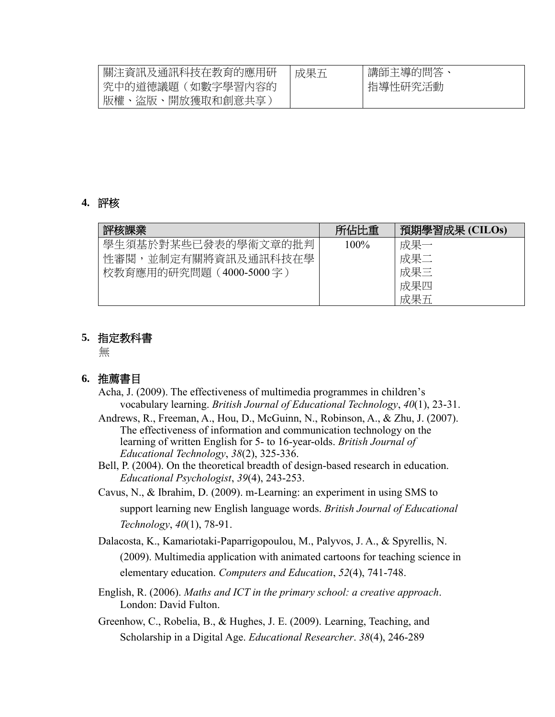| 關注資訊及通訊科技在教育的應用研 | 成果五 | 講師主導的問答 |
|------------------|-----|---------|
| 究中的道德議題(如數字學習內容的 |     | 指導性研究活動 |
| 版權、盜版、開放獲取和創意共享) |     |         |

#### **4.** 評核

| 評核課業                    | 所佔比重    | 預期學習成果 (CILOs) |
|-------------------------|---------|----------------|
| 學生須基於對某些已發表的學術文章的批判     | $100\%$ | 成果一            |
| 性審閱,並制定有關將資訊及通訊科技在學     |         | 成果二            |
| 校教育應用的研究問題 (4000-5000字) |         | 成果三            |
|                         |         | 成果四            |
|                         |         | 成果五            |

### **5.** 指定教科書

無

## **6.** 推薦書目

- Acha, J. (2009). The effectiveness of multimedia programmes in children's vocabulary learning. *British Journal of Educational Technology*, *40*(1), 23-31.
- Andrews, R., Freeman, A., Hou, D., McGuinn, N., Robinson, A., & Zhu, J. (2007). The effectiveness of information and communication technology on the learning of written English for 5- to 16-year-olds. *British Journal of Educational Technology*, *38*(2), 325-336.
- Bell, P. (2004). On the theoretical breadth of design-based research in education. *Educational Psychologist*, *39*(4), 243-253.
- Cavus, N., & Ibrahim, D. (2009). m-Learning: an experiment in using SMS to support learning new English language words. *British Journal of Educational Technology*, *40*(1), 78-91.
- Dalacosta, K., Kamariotaki-Paparrigopoulou, M., Palyvos, J. A., & Spyrellis, N. (2009). Multimedia application with animated cartoons for teaching science in elementary education. *Computers and Education*, *52*(4), 741-748.
- English, R. (2006). *Maths and ICT in the primary school: a creative approach*. London: David Fulton.
- Greenhow, C., Robelia, B., & Hughes, J. E. (2009). Learning, Teaching, and Scholarship in a Digital Age. *Educational Researcher*. *38*(4), 246-289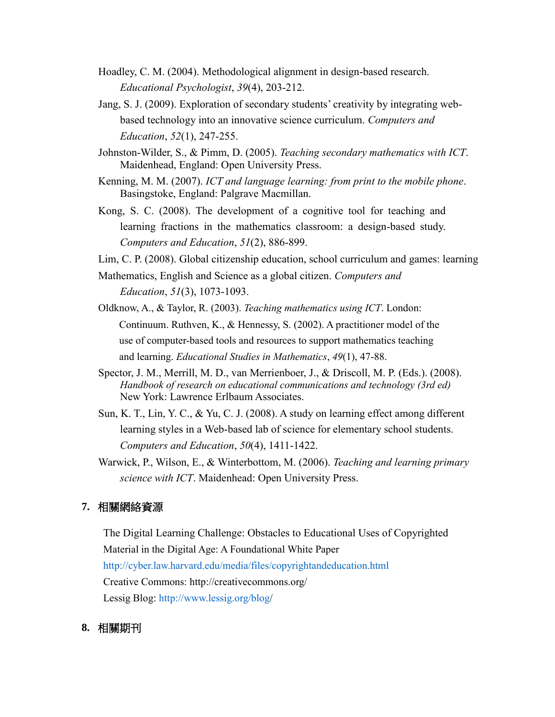- Hoadley, C. M. (2004). Methodological alignment in design-based research. *Educational Psychologist*, *39*(4), 203-212.
- Jang, S. J. (2009). Exploration of secondary students' creativity by integrating webbased technology into an innovative science curriculum. *Computers and Education*, *52*(1), 247-255.
- Johnston-Wilder, S., & Pimm, D. (2005). *Teaching secondary mathematics with ICT*. Maidenhead, England: Open University Press.
- Kenning, M. M. (2007). *ICT and language learning: from print to the mobile phone*. Basingstoke, England: Palgrave Macmillan.
- Kong, S. C. (2008). The development of a cognitive tool for teaching and learning fractions in the mathematics classroom: a design-based study. *Computers and Education*, *51*(2), 886-899.
- Lim, C. P. (2008). Global citizenship education, school curriculum and games: learning
- Mathematics, English and Science as a global citizen. *Computers and Education*, *51*(3), 1073-1093.
- Oldknow, A., & Taylor, R. (2003). *Teaching mathematics using ICT*. London: Continuum. Ruthven, K., & Hennessy, S. (2002). A practitioner model of the use of computer-based tools and resources to support mathematics teaching and learning. *Educational Studies in Mathematics*, *49*(1), 47-88.
- Spector, J. M., Merrill, M. D., van Merrienboer, J., & Driscoll, M. P. (Eds.). (2008). *Handbook of research on educational communications and technology (3rd ed)* New York: Lawrence Erlbaum Associates.
- Sun, K. T., Lin, Y. C., & Yu, C. J. (2008). A study on learning effect among different learning styles in a Web-based lab of science for elementary school students. *Computers and Education*, *50*(4), 1411-1422.
- Warwick, P., Wilson, E., & Winterbottom, M. (2006). *Teaching and learning primary science with ICT*. Maidenhead: Open University Press.

### **7.** 相關網絡資源

The Digital Learning Challenge: Obstacles to Educational Uses of Copyrighted Material in the Digital Age: A Foundational White Paper <http://cyber.law.harvard.edu/media/files/copyrightandeducation.html> Creative Commons: <http://creativecommons.org/> Lessig Blog: [http://www.lessig.org/blog/](http://www.lessig.org/blog)

#### **8.** 相關期刊